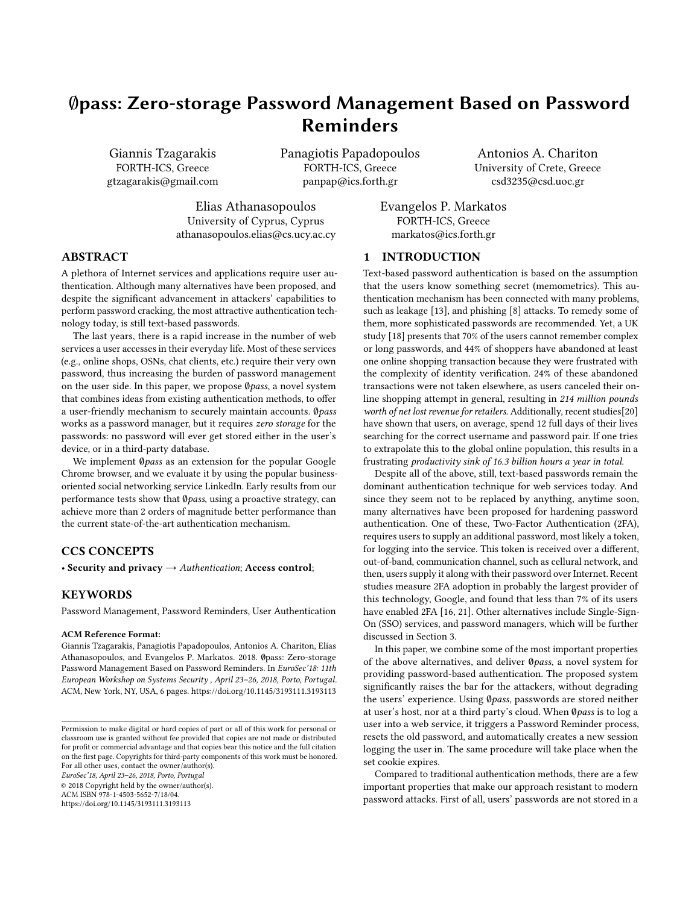# ∅pass: Zero-storage Password Management Based on Password Reminders

Giannis Tzagarakis FORTH-ICS, Greece gtzagarakis@gmail.com Panagiotis Papadopoulos FORTH-ICS, Greece panpap@ics.forth.gr

Antonios A. Chariton University of Crete, Greece csd3235@csd.uoc.gr

Elias Athanasopoulos University of Cyprus, Cyprus athanasopoulos.elias@cs.ucy.ac.cy Evangelos P. Markatos FORTH-ICS, Greece markatos@ics.forth.gr

# ABSTRACT

A plethora of Internet services and applications require user authentication. Although many alternatives have been proposed, and despite the significant advancement in attackers' capabilities to perform password cracking, the most attractive authentication technology today, is still text-based passwords.

The last years, there is a rapid increase in the number of web services a user accesses in their everyday life. Most of these services (e.g., online shops, OSNs, chat clients, etc.) require their very own password, thus increasing the burden of password management on the user side. In this paper, we propose ∅pass, a novel system that combines ideas from existing authentication methods, to offer a user-friendly mechanism to securely maintain accounts. ∅pass works as a password manager, but it requires zero storage for the passwords: no password will ever get stored either in the user's device, or in a third-party database.

We implement Øpass as an extension for the popular Google Chrome browser, and we evaluate it by using the popular businessoriented social networking service LinkedIn. Early results from our performance tests show that Øpass, using a proactive strategy, can achieve more than 2 orders of magnitude better performance than the current state-of-the-art authentication mechanism.

# CCS CONCEPTS

• Security and privacy  $\rightarrow$  Authentication; Access control;

#### KEYWORDS

Password Management, Password Reminders, User Authentication

#### ACM Reference Format:

Giannis Tzagarakis, Panagiotis Papadopoulos, Antonios A. Chariton, Elias Athanasopoulos, and Evangelos P. Markatos. 2018. ∅pass: Zero-storage Password Management Based on Password Reminders. In EuroSec'18: 11th European Workshop on Systems Security , April 23–26, 2018, Porto, Portugal. ACM, New York, NY, USA, [6](#page-5-0) pages.<https://doi.org/10.1145/3193111.3193113>

EuroSec'18, April 23–26, 2018, Porto, Portugal

 $\odot$  2018 Copyright held by the owner/author(s). ACM ISBN 978-1-4503-5652-7/18/04.

<https://doi.org/10.1145/3193111.3193113>

### 1 INTRODUCTION

Text-based password authentication is based on the assumption that the users know something secret (memometrics). This authentication mechanism has been connected with many problems, such as leakage [\[13\]](#page-5-1), and phishing [\[8\]](#page-5-2) attacks. To remedy some of them, more sophisticated passwords are recommended. Yet, a UK study [\[18\]](#page-5-3) presents that 70% of the users cannot remember complex or long passwords, and 44% of shoppers have abandoned at least one online shopping transaction because they were frustrated with the complexity of identity verification. 24% of these abandoned transactions were not taken elsewhere, as users canceled their online shopping attempt in general, resulting in 214 million pounds worth of net lost revenue for retailers. Additionally, recent studies[\[20\]](#page-5-4) have shown that users, on average, spend 12 full days of their lives searching for the correct username and password pair. If one tries to extrapolate this to the global online population, this results in a frustrating productivity sink of 16.3 billion hours a year in total.

Despite all of the above, still, text-based passwords remain the dominant authentication technique for web services today. And since they seem not to be replaced by anything, anytime soon, many alternatives have been proposed for hardening password authentication. One of these, Two-Factor Authentication (2FA), requires users to supply an additional password, most likely a token, for logging into the service. This token is received over a different, out-of-band, communication channel, such as cellural network, and then, users supply it along with their password over Internet. Recent studies measure 2FA adoption in probably the largest provider of this technology, Google, and found that less than 7% of its users have enabled 2FA [\[16,](#page-5-5) [21\]](#page-5-6). Other alternatives include Single-Sign-On (SSO) services, and password managers, which will be further discussed in Section [3.](#page-1-0)

In this paper, we combine some of the most important properties of the above alternatives, and deliver ∅pass, a novel system for providing password-based authentication. The proposed system significantly raises the bar for the attackers, without degrading the users' experience. Using Øpass, passwords are stored neither at user's host, nor at a third party's cloud. When ∅pass is to log a user into a web service, it triggers a Password Reminder process, resets the old password, and automatically creates a new session logging the user in. The same procedure will take place when the set cookie expires.

Compared to traditional authentication methods, there are a few important properties that make our approach resistant to modern password attacks. First of all, users' passwords are not stored in a

Permission to make digital or hard copies of part or all of this work for personal or classroom use is granted without fee provided that copies are not made or distributed for profit or commercial advantage and that copies bear this notice and the full citation on the first page. Copyrights for third-party components of this work must be honored. For all other uses, contact the owner/author(s).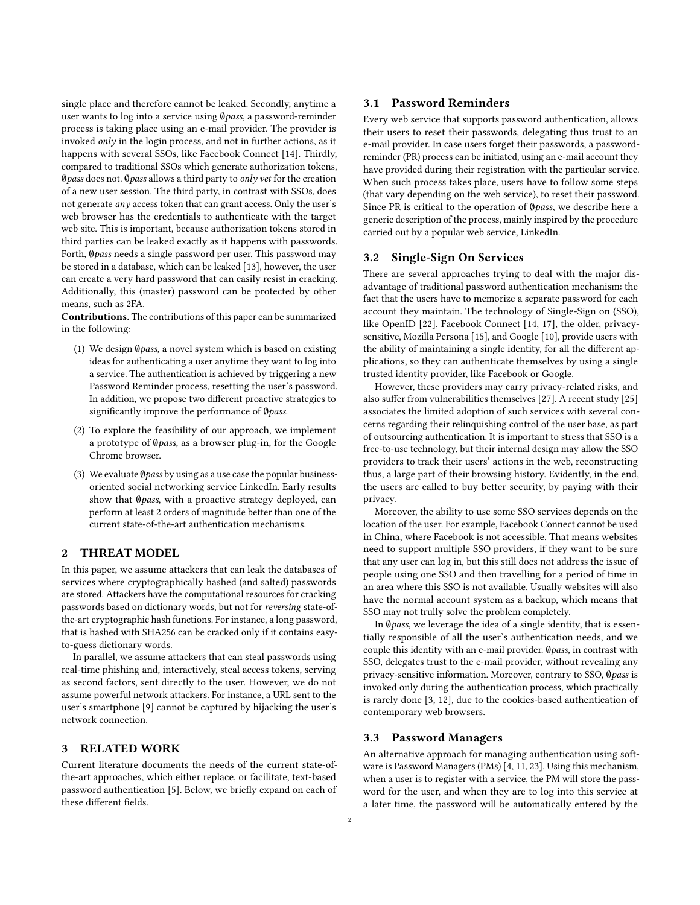single place and therefore cannot be leaked. Secondly, anytime a user wants to log into a service using Øpass, a password-reminder process is taking place using an e-mail provider. The provider is invoked only in the login process, and not in further actions, as it happens with several SSOs, like Facebook Connect [\[14\]](#page-5-7). Thirdly, compared to traditional SSOs which generate authorization tokens, Øpass does not. Øpass allows a third party to only vet for the creation of a new user session. The third party, in contrast with SSOs, does not generate any access token that can grant access. Only the user's web browser has the credentials to authenticate with the target web site. This is important, because authorization tokens stored in third parties can be leaked exactly as it happens with passwords. Forth, Øpass needs a single password per user. This password may be stored in a database, which can be leaked [\[13\]](#page-5-1), however, the user can create a very hard password that can easily resist in cracking. Additionally, this (master) password can be protected by other means, such as 2FA.

Contributions. The contributions of this paper can be summarized in the following:

- (1) We design ∅pass, a novel system which is based on existing ideas for authenticating a user anytime they want to log into a service. The authentication is achieved by triggering a new Password Reminder process, resetting the user's password. In addition, we propose two different proactive strategies to significantly improve the performance of Øpass.
- (2) To explore the feasibility of our approach, we implement a prototype of ∅pass, as a browser plug-in, for the Google Chrome browser.
- (3) We evaluate  $\varphi$  pass by using as a use case the popular businessoriented social networking service LinkedIn. Early results show that Øpass, with a proactive strategy deployed, can perform at least 2 orders of magnitude better than one of the current state-of-the-art authentication mechanisms.

# 2 THREAT MODEL

In this paper, we assume attackers that can leak the databases of services where cryptographically hashed (and salted) passwords are stored. Attackers have the computational resources for cracking passwords based on dictionary words, but not for reversing state-ofthe-art cryptographic hash functions. For instance, a long password, that is hashed with SHA256 can be cracked only if it contains easyto-guess dictionary words.

In parallel, we assume attackers that can steal passwords using real-time phishing and, interactively, steal access tokens, serving as second factors, sent directly to the user. However, we do not assume powerful network attackers. For instance, a URL sent to the user's smartphone [\[9\]](#page-5-8) cannot be captured by hijacking the user's network connection.

# <span id="page-1-0"></span>3 RELATED WORK

Current literature documents the needs of the current state-ofthe-art approaches, which either replace, or facilitate, text-based password authentication [\[5\]](#page-5-9). Below, we briefly expand on each of these different fields.

#### 3.1 Password Reminders

Every web service that supports password authentication, allows their users to reset their passwords, delegating thus trust to an e-mail provider. In case users forget their passwords, a passwordreminder (PR) process can be initiated, using an e-mail account they have provided during their registration with the particular service. When such process takes place, users have to follow some steps (that vary depending on the web service), to reset their password. Since PR is critical to the operation of Øpass, we describe here a generic description of the process, mainly inspired by the procedure carried out by a popular web service, LinkedIn.

# 3.2 Single-Sign On Services

There are several approaches trying to deal with the major disadvantage of traditional password authentication mechanism: the fact that the users have to memorize a separate password for each account they maintain. The technology of Single-Sign on (SSO), like OpenID [\[22\]](#page-5-10), Facebook Connect [\[14,](#page-5-7) [17\]](#page-5-11), the older, privacysensitive, Mozilla Persona [\[15\]](#page-5-12), and Google [\[10\]](#page-5-13), provide users with the ability of maintaining a single identity, for all the different applications, so they can authenticate themselves by using a single trusted identity provider, like Facebook or Google.

However, these providers may carry privacy-related risks, and also suffer from vulnerabilities themselves [\[27\]](#page-5-14). A recent study [\[25\]](#page-5-15) associates the limited adoption of such services with several concerns regarding their relinquishing control of the user base, as part of outsourcing authentication. It is important to stress that SSO is a free-to-use technology, but their internal design may allow the SSO providers to track their users' actions in the web, reconstructing thus, a large part of their browsing history. Evidently, in the end, the users are called to buy better security, by paying with their privacy.

Moreover, the ability to use some SSO services depends on the location of the user. For example, Facebook Connect cannot be used in China, where Facebook is not accessible. That means websites need to support multiple SSO providers, if they want to be sure that any user can log in, but this still does not address the issue of people using one SSO and then travelling for a period of time in an area where this SSO is not available. Usually websites will also have the normal account system as a backup, which means that SSO may not trully solve the problem completely.

In  $\emptyset$ *pass*, we leverage the idea of a single identity, that is essentially responsible of all the user's authentication needs, and we couple this identity with an e-mail provider. Øpass, in contrast with SSO, delegates trust to the e-mail provider, without revealing any privacy-sensitive information. Moreover, contrary to SSO, Øpass is invoked only during the authentication process, which practically is rarely done [\[3,](#page-5-16) [12\]](#page-5-17), due to the cookies-based authentication of contemporary web browsers.

#### 3.3 Password Managers

An alternative approach for managing authentication using software is Password Managers (PMs) [\[4,](#page-5-18) [11,](#page-5-19) [23\]](#page-5-20). Using this mechanism, when a user is to register with a service, the PM will store the password for the user, and when they are to log into this service at a later time, the password will be automatically entered by the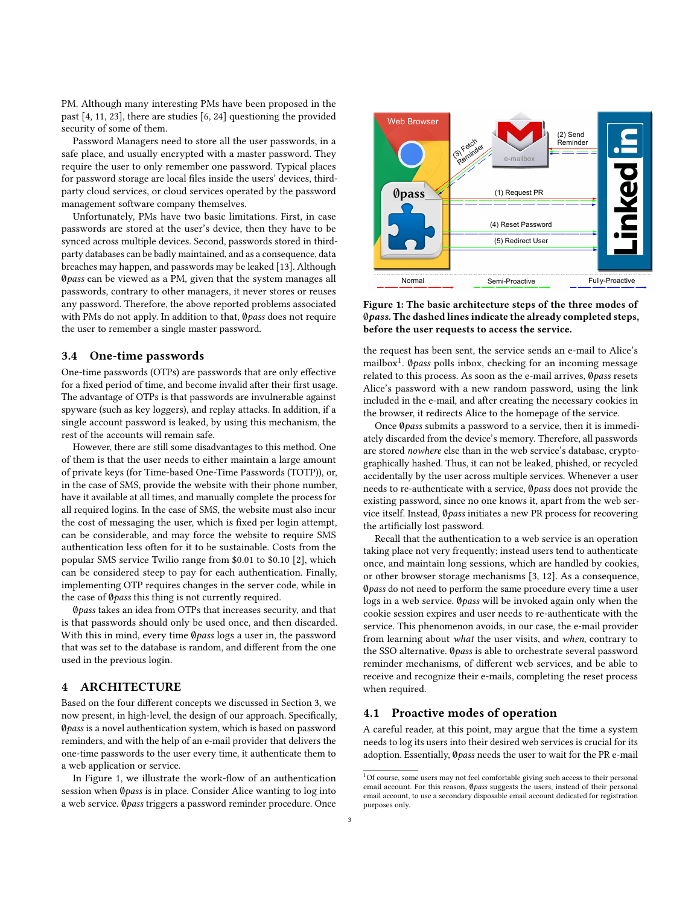PM. Although many interesting PMs have been proposed in the past [\[4,](#page-5-18) [11,](#page-5-19) [23\]](#page-5-20), there are studies [\[6,](#page-5-21) [24\]](#page-5-22) questioning the provided security of some of them.

Password Managers need to store all the user passwords, in a safe place, and usually encrypted with a master password. They require the user to only remember one password. Typical places for password storage are local files inside the users' devices, thirdparty cloud services, or cloud services operated by the password management software company themselves.

Unfortunately, PMs have two basic limitations. First, in case passwords are stored at the user's device, then they have to be synced across multiple devices. Second, passwords stored in thirdparty databases can be badly maintained, and as a consequence, data breaches may happen, and passwords may be leaked [\[13\]](#page-5-1). Although ∅pass can be viewed as a PM, given that the system manages all passwords, contrary to other managers, it never stores or reuses any password. Therefore, the above reported problems associated with PMs do not apply. In addition to that, Øpass does not require the user to remember a single master password.

#### 3.4 One-time passwords

One-time passwords (OTPs) are passwords that are only effective for a fixed period of time, and become invalid after their first usage. The advantage of OTPs is that passwords are invulnerable against spyware (such as key loggers), and replay attacks. In addition, if a single account password is leaked, by using this mechanism, the rest of the accounts will remain safe.

However, there are still some disadvantages to this method. One of them is that the user needs to either maintain a large amount of private keys (for Time-based One-Time Passwords (TOTP)), or, in the case of SMS, provide the website with their phone number, have it available at all times, and manually complete the process for all required logins. In the case of SMS, the website must also incur the cost of messaging the user, which is fixed per login attempt, can be considerable, and may force the website to require SMS authentication less often for it to be sustainable. Costs from the popular SMS service Twilio range from \$0.01 to \$0.10 [\[2\]](#page-5-23), which can be considered steep to pay for each authentication. Finally, implementing OTP requires changes in the server code, while in the case of Øpass this thing is not currently required.

∅pass takes an idea from OTPs that increases security, and that is that passwords should only be used once, and then discarded. With this in mind, every time Øpass logs a user in, the password that was set to the database is random, and different from the one used in the previous login.

# <span id="page-2-3"></span>4 ARCHITECTURE

Based on the four different concepts we discussed in Section [3,](#page-1-0) we now present, in high-level, the design of our approach. Specifically, ∅pass is a novel authentication system, which is based on password reminders, and with the help of an e-mail provider that delivers the one-time passwords to the user every time, it authenticate them to a web application or service.

In Figure [1,](#page-2-0) we illustrate the work-flow of an authentication session when Øpass is in place. Consider Alice wanting to log into a web service. ∅pass triggers a password reminder procedure. Once

<span id="page-2-0"></span>

Figure 1: The basic architecture steps of the three modes of ∅pass. The dashed lines indicate the already completed steps, before the user requests to access the service.

the request has been sent, the service sends an e-mail to Alice's mailbox<sup>[1](#page-2-1)</sup>. Øpass polls inbox, checking for an incoming message related to this process. As soon as the e-mail arrives, Øpass resets Alice's password with a new random password, using the link included in the e-mail, and after creating the necessary cookies in the browser, it redirects Alice to the homepage of the service.

Once Øpass submits a password to a service, then it is immediately discarded from the device's memory. Therefore, all passwords are stored nowhere else than in the web service's database, cryptographically hashed. Thus, it can not be leaked, phished, or recycled accidentally by the user across multiple services. Whenever a user needs to re-authenticate with a service, ∅pass does not provide the existing password, since no one knows it, apart from the web service itself. Instead, Øpass initiates a new PR process for recovering the artificially lost password.

Recall that the authentication to a web service is an operation taking place not very frequently; instead users tend to authenticate once, and maintain long sessions, which are handled by cookies, or other browser storage mechanisms [\[3,](#page-5-16) [12\]](#page-5-17). As a consequence, Øpass do not need to perform the same procedure every time a user logs in a web service. ∅pass will be invoked again only when the cookie session expires and user needs to re-authenticate with the service. This phenomenon avoids, in our case, the e-mail provider from learning about what the user visits, and when, contrary to the SSO alternative. ∅pass is able to orchestrate several password reminder mechanisms, of different web services, and be able to receive and recognize their e-mails, completing the reset process when required.

# <span id="page-2-2"></span>4.1 Proactive modes of operation

A careful reader, at this point, may argue that the time a system needs to log its users into their desired web services is crucial for its adoption. Essentially, Øpass needs the user to wait for the PR e-mail

<span id="page-2-1"></span> $^1 {\rm Of}$  course, some users may not feel comfortable giving such access to their personal email account. For this reason, Øpass suggests the users, instead of their personal email account, to use a secondary disposable email account dedicated for registration purposes only.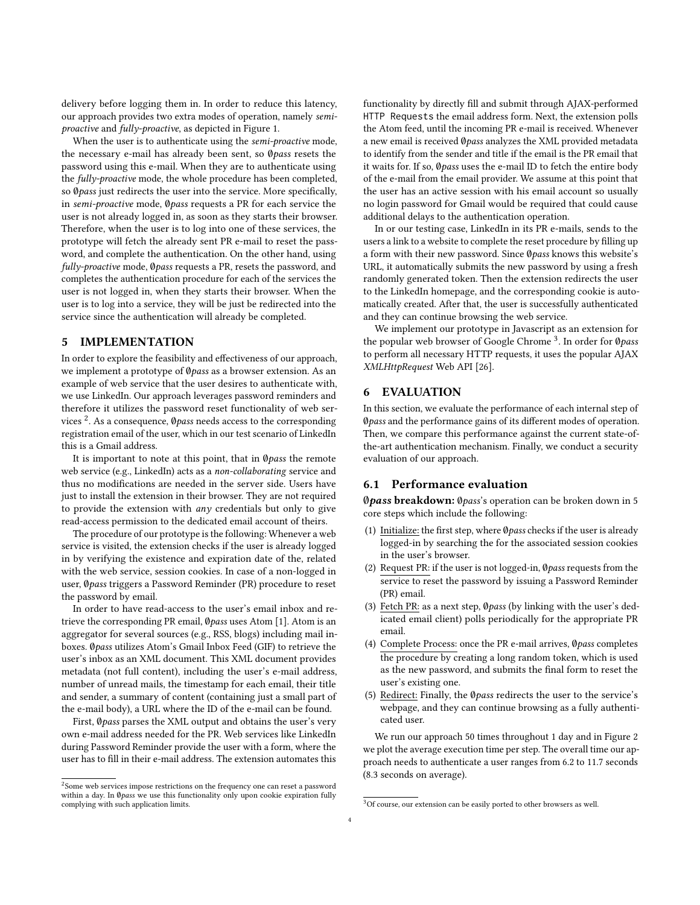delivery before logging them in. In order to reduce this latency, our approach provides two extra modes of operation, namely semiproactive and fully-proactive, as depicted in Figure [1.](#page-2-0)

When the user is to authenticate using the semi-proactive mode, the necessary e-mail has already been sent, so ∅pass resets the password using this e-mail. When they are to authenticate using the fully-proactive mode, the whole procedure has been completed, so Øpass just redirects the user into the service. More specifically, in semi-proactive mode, ∅pass requests a PR for each service the user is not already logged in, as soon as they starts their browser. Therefore, when the user is to log into one of these services, the prototype will fetch the already sent PR e-mail to reset the password, and complete the authentication. On the other hand, using fully-proactive mode, Øpass requests a PR, resets the password, and completes the authentication procedure for each of the services the user is not logged in, when they starts their browser. When the user is to log into a service, they will be just be redirected into the service since the authentication will already be completed.

#### 5 IMPLEMENTATION

In order to explore the feasibility and effectiveness of our approach, we implement a prototype of Ø*pass* as a browser extension. As an example of web service that the user desires to authenticate with, we use LinkedIn. Our approach leverages password reminders and therefore it utilizes the password reset functionality of web services  $^2$  $^2$ . As a consequence,  $\emptyset$ pass needs access to the corresponding registration email of the user, which in our test scenario of LinkedIn this is a Gmail address.

It is important to note at this point, that in  $@pass$  the remote web service (e.g., LinkedIn) acts as a non-collaborating service and thus no modifications are needed in the server side. Users have just to install the extension in their browser. They are not required to provide the extension with any credentials but only to give read-access permission to the dedicated email account of theirs.

The procedure of our prototype is the following: Whenever a web service is visited, the extension checks if the user is already logged in by verifying the existence and expiration date of the, related with the web service, session cookies. In case of a non-logged in user, Øpass triggers a Password Reminder (PR) procedure to reset the password by email.

In order to have read-access to the user's email inbox and retrieve the corresponding PR email, ∅pass uses Atom [\[1\]](#page-5-24). Atom is an aggregator for several sources (e.g., RSS, blogs) including mail inboxes. ∅pass utilizes Atom's Gmail Inbox Feed (GIF) to retrieve the user's inbox as an XML document. This XML document provides metadata (not full content), including the user's e-mail address, number of unread mails, the timestamp for each email, their title and sender, a summary of content (containing just a small part of the e-mail body), a URL where the ID of the e-mail can be found.

First, Øpass parses the XML output and obtains the user's very own e-mail address needed for the PR. Web services like LinkedIn during Password Reminder provide the user with a form, where the user has to fill in their e-mail address. The extension automates this functionality by directly fill and submit through AJAX-performed HTTP Requests the email address form. Next, the extension polls the Atom feed, until the incoming PR e-mail is received. Whenever a new email is received ∅pass analyzes the XML provided metadata to identify from the sender and title if the email is the PR email that it waits for. If so, ∅pass uses the e-mail ID to fetch the entire body of the e-mail from the email provider. We assume at this point that the user has an active session with his email account so usually no login password for Gmail would be required that could cause additional delays to the authentication operation.

In or our testing case, LinkedIn in its PR e-mails, sends to the users a link to a website to complete the reset procedure by filling up a form with their new password. Since Øpass knows this website's URL, it automatically submits the new password by using a fresh randomly generated token. Then the extension redirects the user to the LinkedIn homepage, and the corresponding cookie is automatically created. After that, the user is successfully authenticated and they can continue browsing the web service.

We implement our prototype in Javascript as an extension for the popular web browser of Google Chrome <sup>[3](#page-3-1)</sup>. In order for Ø*pass* to perform all necessary HTTP requests, it uses the popular AJAX XMLHttpRequest Web API [\[26\]](#page-5-25).

## 6 EVALUATION

In this section, we evaluate the performance of each internal step of ∅pass and the performance gains of its different modes of operation. Then, we compare this performance against the current state-ofthe-art authentication mechanism. Finally, we conduct a security evaluation of our approach.

#### 6.1 Performance evaluation

∅pass breakdown: ∅pass's operation can be broken down in 5 core steps which include the following:

- (1) Initialize: the first step, where ∅pass checks if the user is already logged-in by searching the for the associated session cookies in the user's browser.
- (2) Request PR: if the user is not logged-in, ∅pass requests from the service to reset the password by issuing a Password Reminder (PR) email.
- (3) Fetch PR: as a next step, Øpass (by linking with the user's dedicated email client) polls periodically for the appropriate PR email.
- (4) Complete Process: once the PR e-mail arrives, Øpass completes the procedure by creating a long random token, which is used as the new password, and submits the final form to reset the user's existing one.
- (5) Redirect: Finally, the ∅pass redirects the user to the service's webpage, and they can continue browsing as a fully authenticated user.

We run our approach 50 times throughout 1 day and in Figure [2](#page-4-0) we plot the average execution time per step. The overall time our approach needs to authenticate a user ranges from 6.2 to 11.7 seconds (8.3 seconds on average).

<span id="page-3-0"></span> $2$ Some web services impose restrictions on the frequency one can reset a password within a day. In Øpass we use this functionality only upon cookie expiration fully complying with such application limits.

<span id="page-3-1"></span> ${}^{3}$  Of course, our extension can be easily ported to other browsers as well.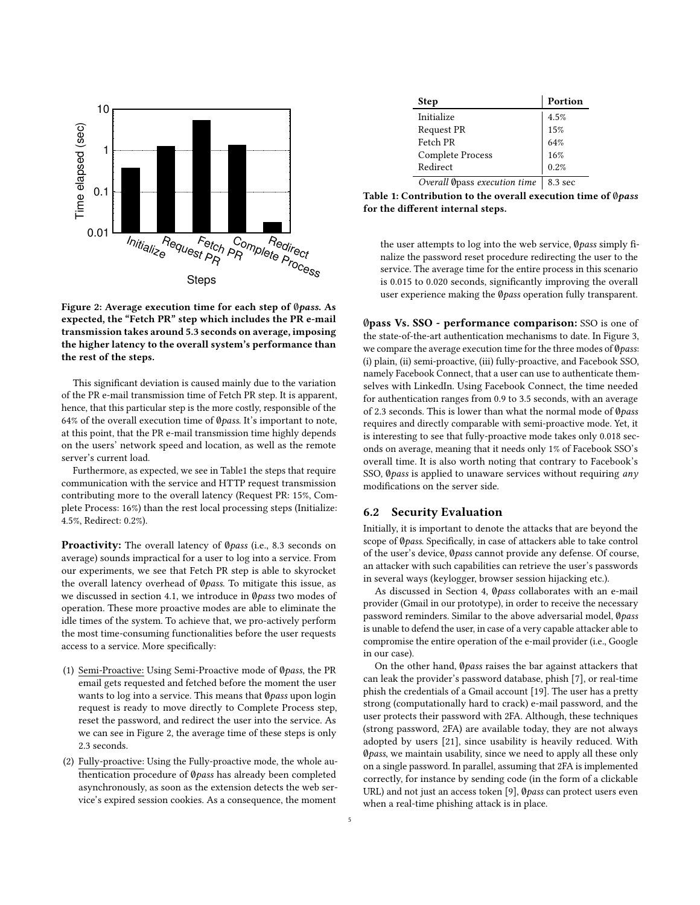<span id="page-4-0"></span>

Figure 2: Average execution time for each step of ∅pass. As expected, the "Fetch PR" step which includes the PR e-mail transmission takes around 5.3 seconds on average, imposing the higher latency to the overall system's performance than the rest of the steps.

This significant deviation is caused mainly due to the variation of the PR e-mail transmission time of Fetch PR step. It is apparent, hence, that this particular step is the more costly, responsible of the 64% of the overall execution time of ∅pass. It's important to note, at this point, that the PR e-mail transmission time highly depends on the users' network speed and location, as well as the remote server's current load.

Furthermore, as expected, we see in Tabl[e1](#page-4-1) the steps that require communication with the service and HTTP request transmission contributing more to the overall latency (Request PR: 15%, Complete Process: 16%) than the rest local processing steps (Initialize: 4.5%, Redirect: 0.2%).

Proactivity: The overall latency of Øpass (i.e., 8.3 seconds on average) sounds impractical for a user to log into a service. From our experiments, we see that Fetch PR step is able to skyrocket the overall latency overhead of Øpass. To mitigate this issue, as we discussed in section [4.1,](#page-2-2) we introduce in Øpass two modes of operation. These more proactive modes are able to eliminate the idle times of the system. To achieve that, we pro-actively perform the most time-consuming functionalities before the user requests access to a service. More specifically:

- (1) Semi-Proactive: Using Semi-Proactive mode of ∅pass, the PR email gets requested and fetched before the moment the user wants to log into a service. This means that Øpass upon login request is ready to move directly to Complete Process step, reset the password, and redirect the user into the service. As we can see in Figure [2,](#page-4-0) the average time of these steps is only 2.3 seconds.
- (2) Fully-proactive: Using the Fully-proactive mode, the whole authentication procedure of ∅pass has already been completed asynchronously, as soon as the extension detects the web service's expired session cookies. As a consequence, the moment

<span id="page-4-1"></span>

| <b>Step</b>             | Portion |
|-------------------------|---------|
| Initialize              | 4.5%    |
| Request PR              | 15%     |
| Fetch PR                | 64%     |
| <b>Complete Process</b> | 16%     |
| Redirect                | 0.2%    |
| -- -                    |         |

Overall Øpass execution time |  $8.3$  sec

Table 1: Contribution to the overall execution time of Øpass for the different internal steps.

the user attempts to log into the web service, Øpass simply finalize the password reset procedure redirecting the user to the service. The average time for the entire process in this scenario is 0.015 to 0.020 seconds, significantly improving the overall user experience making the *Øpass* operation fully transparent.

∅pass Vs. SSO - performance comparison: SSO is one of the state-of-the-art authentication mechanisms to date. In Figure [3,](#page-5-26) we compare the average execution time for the three modes of Øpass: (i) plain, (ii) semi-proactive, (iii) fully-proactive, and Facebook SSO, namely Facebook Connect, that a user can use to authenticate themselves with LinkedIn. Using Facebook Connect, the time needed for authentication ranges from 0.9 to 3.5 seconds, with an average of 2.3 seconds. This is lower than what the normal mode of Øpass requires and directly comparable with semi-proactive mode. Yet, it is interesting to see that fully-proactive mode takes only 0.018 seconds on average, meaning that it needs only 1% of Facebook SSO's overall time. It is also worth noting that contrary to Facebook's SSO,  $\emptyset$ *pass* is applied to unaware services without requiring any modifications on the server side.

#### 6.2 Security Evaluation

Initially, it is important to denote the attacks that are beyond the scope of Øpass. Specifically, in case of attackers able to take control of the user's device, ∅pass cannot provide any defense. Of course, an attacker with such capabilities can retrieve the user's passwords in several ways (keylogger, browser session hijacking etc.).

As discussed in Section [4,](#page-2-3) Øpass collaborates with an e-mail provider (Gmail in our prototype), in order to receive the necessary password reminders. Similar to the above adversarial model, Øpass is unable to defend the user, in case of a very capable attacker able to compromise the entire operation of the e-mail provider (i.e., Google in our case).

On the other hand, Øpass raises the bar against attackers that can leak the provider's password database, phish [\[7\]](#page-5-27), or real-time phish the credentials of a Gmail account [\[19\]](#page-5-28). The user has a pretty strong (computationally hard to crack) e-mail password, and the user protects their password with 2FA. Although, these techniques (strong password, 2FA) are available today, they are not always adopted by users [\[21\]](#page-5-6), since usability is heavily reduced. With ∅pass, we maintain usability, since we need to apply all these only on a single password. In parallel, assuming that 2FA is implemented correctly, for instance by sending code (in the form of a clickable URL) and not just an access token [\[9\]](#page-5-8), Øpass can protect users even when a real-time phishing attack is in place.